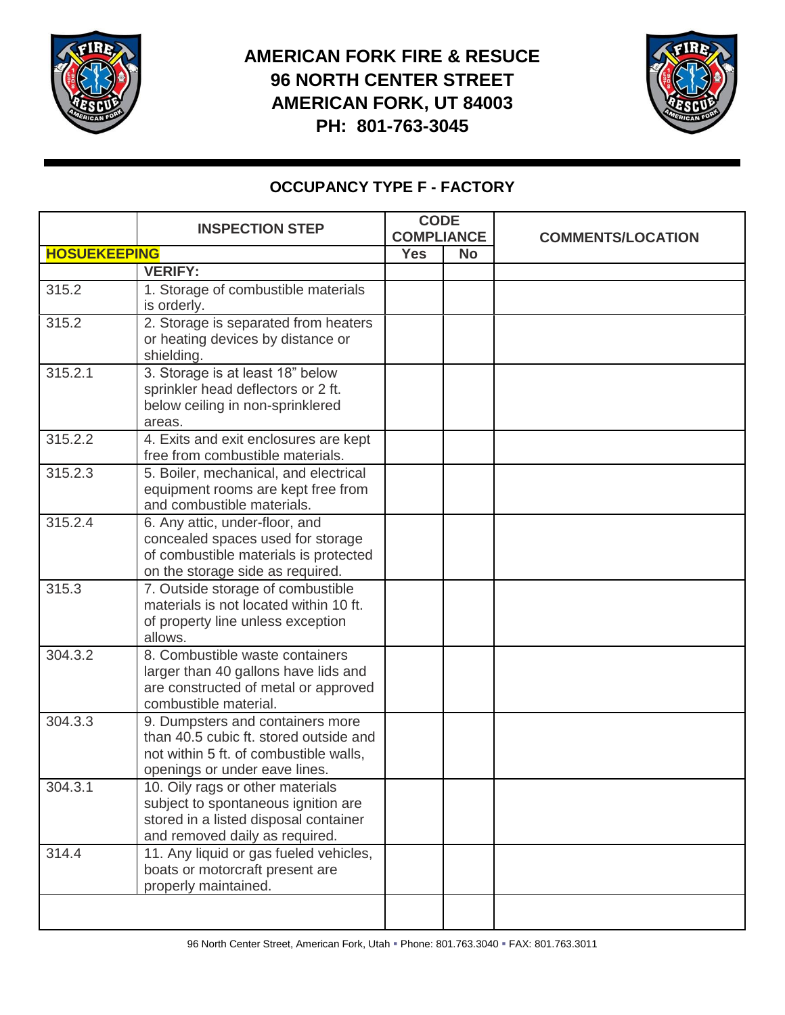

## **AMERICAN FORK FIRE & RESUCE 96 NORTH CENTER STREET AMERICAN FORK, UT 84003 PH: 801-763-3045**



## **OCCUPANCY TYPE F - FACTORY**

|                     | <b>INSPECTION STEP</b>                                                                                                                                | <b>CODE</b><br><b>COMPLIANCE</b> |           | <b>COMMENTS/LOCATION</b> |
|---------------------|-------------------------------------------------------------------------------------------------------------------------------------------------------|----------------------------------|-----------|--------------------------|
| <b>HOSUEKEEPING</b> |                                                                                                                                                       | <b>Yes</b>                       | <b>No</b> |                          |
|                     | <b>VERIFY:</b>                                                                                                                                        |                                  |           |                          |
| 315.2               | 1. Storage of combustible materials<br>is orderly.                                                                                                    |                                  |           |                          |
| 315.2               | 2. Storage is separated from heaters<br>or heating devices by distance or<br>shielding.                                                               |                                  |           |                          |
| 315.2.1             | 3. Storage is at least 18" below<br>sprinkler head deflectors or 2 ft.<br>below ceiling in non-sprinklered<br>areas.                                  |                                  |           |                          |
| 315.2.2             | 4. Exits and exit enclosures are kept<br>free from combustible materials.                                                                             |                                  |           |                          |
| 315.2.3             | 5. Boiler, mechanical, and electrical<br>equipment rooms are kept free from<br>and combustible materials.                                             |                                  |           |                          |
| 315.2.4             | 6. Any attic, under-floor, and<br>concealed spaces used for storage<br>of combustible materials is protected<br>on the storage side as required.      |                                  |           |                          |
| 315.3               | 7. Outside storage of combustible<br>materials is not located within 10 ft.<br>of property line unless exception<br>allows.                           |                                  |           |                          |
| 304.3.2             | 8. Combustible waste containers<br>larger than 40 gallons have lids and<br>are constructed of metal or approved<br>combustible material.              |                                  |           |                          |
| 304.3.3             | 9. Dumpsters and containers more<br>than 40.5 cubic ft. stored outside and<br>not within 5 ft. of combustible walls,<br>openings or under eave lines. |                                  |           |                          |
| 304.3.1             | 10. Oily rags or other materials<br>subject to spontaneous ignition are<br>stored in a listed disposal container<br>and removed daily as required.    |                                  |           |                          |
| 314.4               | 11. Any liquid or gas fueled vehicles,<br>boats or motorcraft present are<br>properly maintained.                                                     |                                  |           |                          |
|                     |                                                                                                                                                       |                                  |           |                          |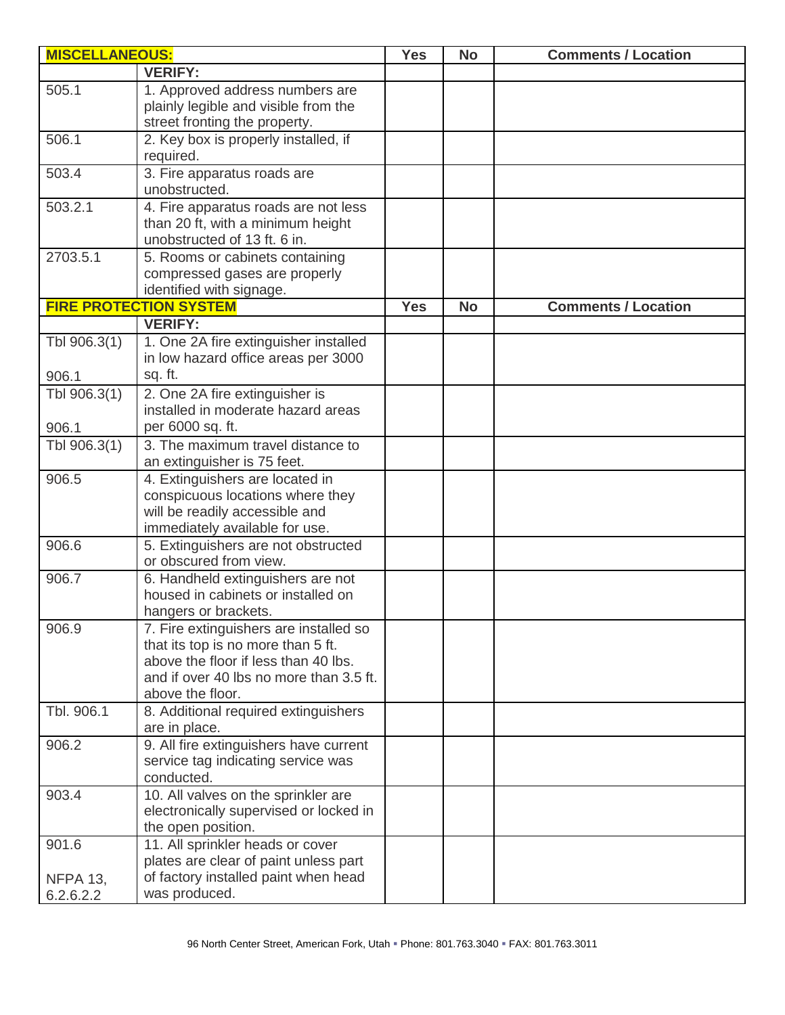| <b>MISCELLANEOUS:</b>                 |                                                                                                                                                                                     | <b>Yes</b> | <b>No</b> | <b>Comments / Location</b> |
|---------------------------------------|-------------------------------------------------------------------------------------------------------------------------------------------------------------------------------------|------------|-----------|----------------------------|
|                                       | <b>VERIFY:</b>                                                                                                                                                                      |            |           |                            |
| 505.1                                 | 1. Approved address numbers are<br>plainly legible and visible from the<br>street fronting the property.                                                                            |            |           |                            |
| 506.1                                 | 2. Key box is properly installed, if<br>required.                                                                                                                                   |            |           |                            |
| 503.4                                 | 3. Fire apparatus roads are<br>unobstructed.                                                                                                                                        |            |           |                            |
| 503.2.1                               | 4. Fire apparatus roads are not less<br>than 20 ft, with a minimum height<br>unobstructed of 13 ft. 6 in.                                                                           |            |           |                            |
| 2703.5.1                              | 5. Rooms or cabinets containing<br>compressed gases are properly<br>identified with signage.                                                                                        |            |           |                            |
|                                       | <b>FIRE PROTECTION SYSTEM</b>                                                                                                                                                       | <b>Yes</b> | <b>No</b> | <b>Comments / Location</b> |
| Tbl 906.3(1)<br>906.1                 | <b>VERIFY:</b><br>1. One 2A fire extinguisher installed<br>in low hazard office areas per 3000<br>sq. ft.                                                                           |            |           |                            |
| Tbl 906.3(1)<br>906.1                 | 2. One 2A fire extinguisher is<br>installed in moderate hazard areas<br>per 6000 sq. ft.                                                                                            |            |           |                            |
| Tbl 906.3(1)                          | 3. The maximum travel distance to<br>an extinguisher is 75 feet.                                                                                                                    |            |           |                            |
| 906.5                                 | 4. Extinguishers are located in<br>conspicuous locations where they<br>will be readily accessible and<br>immediately available for use.                                             |            |           |                            |
| 906.6                                 | 5. Extinguishers are not obstructed<br>or obscured from view.                                                                                                                       |            |           |                            |
| 906.7                                 | 6. Handheld extinguishers are not<br>housed in cabinets or installed on<br>hangers or brackets.                                                                                     |            |           |                            |
| 906.9                                 | 7. Fire extinguishers are installed so<br>that its top is no more than 5 ft.<br>above the floor if less than 40 lbs.<br>and if over 40 lbs no more than 3.5 ft.<br>above the floor. |            |           |                            |
| Tbl. 906.1                            | 8. Additional required extinguishers<br>are in place.                                                                                                                               |            |           |                            |
| 906.2                                 | 9. All fire extinguishers have current<br>service tag indicating service was<br>conducted.                                                                                          |            |           |                            |
| 903.4                                 | 10. All valves on the sprinkler are<br>electronically supervised or locked in<br>the open position.                                                                                 |            |           |                            |
| 901.6<br><b>NFPA 13,</b><br>6.2.6.2.2 | 11. All sprinkler heads or cover<br>plates are clear of paint unless part<br>of factory installed paint when head<br>was produced.                                                  |            |           |                            |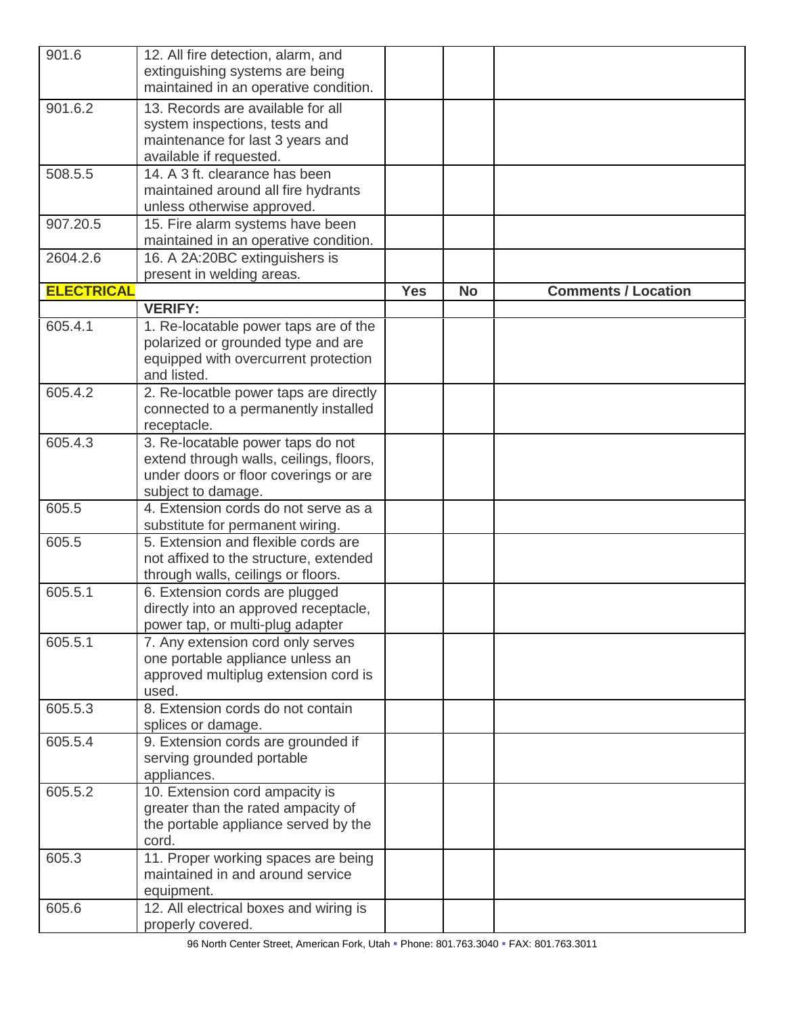| 901.6             | 12. All fire detection, alarm, and<br>extinguishing systems are being                                                                       |            |           |                            |
|-------------------|---------------------------------------------------------------------------------------------------------------------------------------------|------------|-----------|----------------------------|
|                   | maintained in an operative condition.                                                                                                       |            |           |                            |
| 901.6.2           | 13. Records are available for all<br>system inspections, tests and<br>maintenance for last 3 years and<br>available if requested.           |            |           |                            |
| 508.5.5           | 14. A 3 ft. clearance has been<br>maintained around all fire hydrants<br>unless otherwise approved.                                         |            |           |                            |
| 907.20.5          | 15. Fire alarm systems have been<br>maintained in an operative condition.                                                                   |            |           |                            |
| 2604.2.6          | 16. A 2A:20BC extinguishers is<br>present in welding areas.                                                                                 |            |           |                            |
| <b>ELECTRICAL</b> |                                                                                                                                             | <b>Yes</b> | <b>No</b> | <b>Comments / Location</b> |
|                   | <b>VERIFY:</b>                                                                                                                              |            |           |                            |
| 605.4.1           | 1. Re-locatable power taps are of the<br>polarized or grounded type and are<br>equipped with overcurrent protection<br>and listed.          |            |           |                            |
| 605.4.2           | 2. Re-locatble power taps are directly<br>connected to a permanently installed<br>receptacle.                                               |            |           |                            |
| 605.4.3           | 3. Re-locatable power taps do not<br>extend through walls, ceilings, floors,<br>under doors or floor coverings or are<br>subject to damage. |            |           |                            |
| 605.5             | 4. Extension cords do not serve as a<br>substitute for permanent wiring.                                                                    |            |           |                            |
| 605.5             | 5. Extension and flexible cords are<br>not affixed to the structure, extended<br>through walls, ceilings or floors.                         |            |           |                            |
| 605.5.1           | 6. Extension cords are plugged<br>directly into an approved receptacle,<br>power tap, or multi-plug adapter                                 |            |           |                            |
| 605.5.1           | 7. Any extension cord only serves<br>one portable appliance unless an<br>approved multiplug extension cord is<br>used.                      |            |           |                            |
| 605.5.3           | 8. Extension cords do not contain<br>splices or damage.                                                                                     |            |           |                            |
| 605.5.4           | 9. Extension cords are grounded if<br>serving grounded portable<br>appliances.                                                              |            |           |                            |
| 605.5.2           | 10. Extension cord ampacity is<br>greater than the rated ampacity of<br>the portable appliance served by the<br>cord.                       |            |           |                            |
| 605.3             | 11. Proper working spaces are being<br>maintained in and around service<br>equipment.                                                       |            |           |                            |
| 605.6             | 12. All electrical boxes and wiring is<br>properly covered.                                                                                 |            |           |                            |

96 North Center Street, American Fork, Utah Phone: 801.763.3040 FAX: 801.763.3011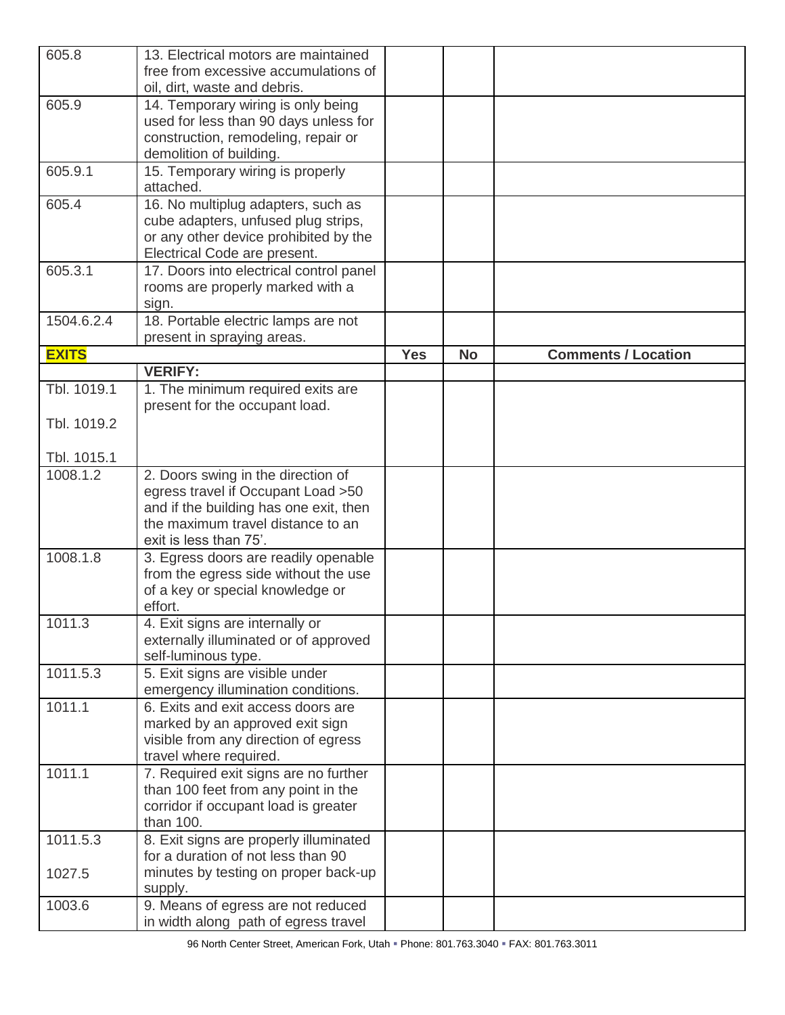| 605.8                   | 13. Electrical motors are maintained<br>free from excessive accumulations of |            |           |                            |
|-------------------------|------------------------------------------------------------------------------|------------|-----------|----------------------------|
|                         | oil, dirt, waste and debris.                                                 |            |           |                            |
| 605.9                   | 14. Temporary wiring is only being                                           |            |           |                            |
|                         | used for less than 90 days unless for                                        |            |           |                            |
|                         | construction, remodeling, repair or                                          |            |           |                            |
| 605.9.1                 | demolition of building.                                                      |            |           |                            |
|                         | 15. Temporary wiring is properly<br>attached.                                |            |           |                            |
| 605.4                   | 16. No multiplug adapters, such as                                           |            |           |                            |
|                         | cube adapters, unfused plug strips,<br>or any other device prohibited by the |            |           |                            |
|                         | Electrical Code are present.                                                 |            |           |                            |
| 605.3.1                 | 17. Doors into electrical control panel                                      |            |           |                            |
|                         | rooms are properly marked with a                                             |            |           |                            |
|                         | sign.                                                                        |            |           |                            |
| 1504.6.2.4              | 18. Portable electric lamps are not<br>present in spraying areas.            |            |           |                            |
| <b>EXITS</b>            |                                                                              | <b>Yes</b> | <b>No</b> | <b>Comments / Location</b> |
|                         | <b>VERIFY:</b>                                                               |            |           |                            |
| Tbl. 1019.1             | 1. The minimum required exits are                                            |            |           |                            |
|                         | present for the occupant load.                                               |            |           |                            |
| Tbl. 1019.2             |                                                                              |            |           |                            |
|                         |                                                                              |            |           |                            |
| Tbl. 1015.1<br>1008.1.2 | 2. Doors swing in the direction of                                           |            |           |                            |
|                         | egress travel if Occupant Load >50                                           |            |           |                            |
|                         | and if the building has one exit, then                                       |            |           |                            |
|                         | the maximum travel distance to an                                            |            |           |                            |
|                         | exit is less than 75'.                                                       |            |           |                            |
| 1008.1.8                | 3. Egress doors are readily openable                                         |            |           |                            |
|                         | from the egress side without the use<br>of a key or special knowledge or     |            |           |                            |
|                         | effort.                                                                      |            |           |                            |
| 1011.3                  | 4. Exit signs are internally or                                              |            |           |                            |
|                         | externally illuminated or of approved                                        |            |           |                            |
|                         | self-luminous type.                                                          |            |           |                            |
| 1011.5.3                | 5. Exit signs are visible under<br>emergency illumination conditions.        |            |           |                            |
| 1011.1                  | 6. Exits and exit access doors are                                           |            |           |                            |
|                         | marked by an approved exit sign                                              |            |           |                            |
|                         | visible from any direction of egress                                         |            |           |                            |
|                         | travel where required.                                                       |            |           |                            |
| 1011.1                  | 7. Required exit signs are no further                                        |            |           |                            |
|                         | than 100 feet from any point in the<br>corridor if occupant load is greater  |            |           |                            |
|                         | than 100.                                                                    |            |           |                            |
| 1011.5.3                | 8. Exit signs are properly illuminated                                       |            |           |                            |
|                         | for a duration of not less than 90                                           |            |           |                            |
| 1027.5                  | minutes by testing on proper back-up                                         |            |           |                            |
| 1003.6                  | supply.                                                                      |            |           |                            |
|                         | 9. Means of egress are not reduced<br>in width along path of egress travel   |            |           |                            |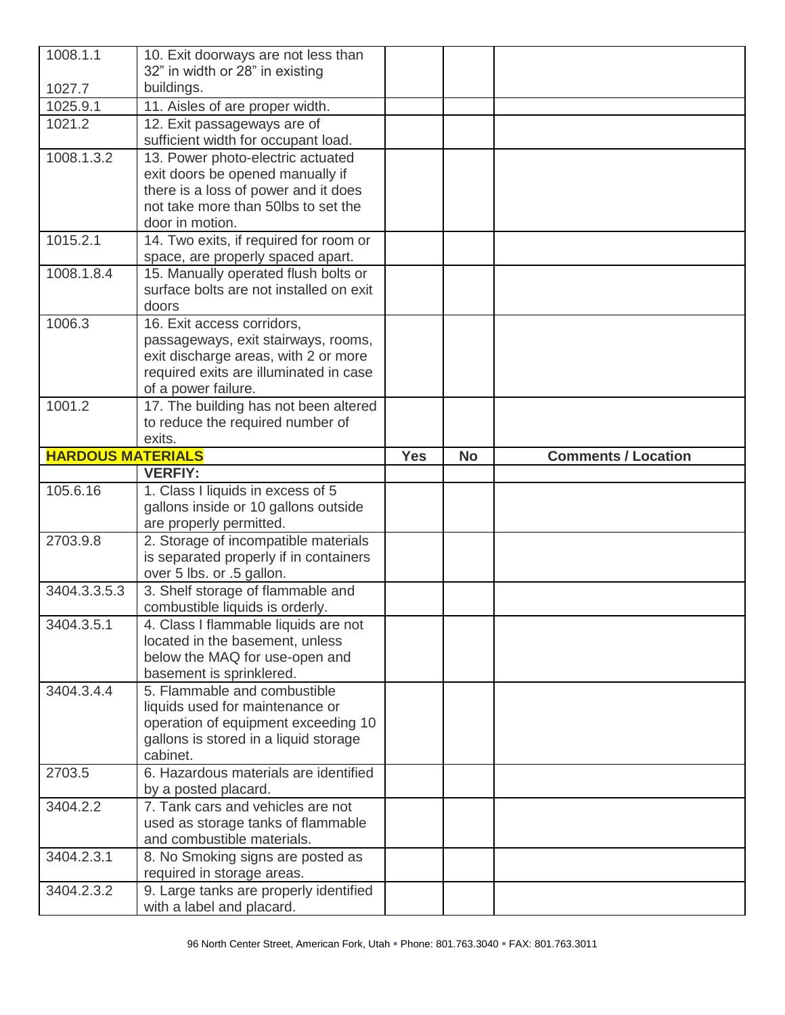| 1008.1.1                 | 10. Exit doorways are not less than<br>32" in width or 28" in existing         |            |           |                            |
|--------------------------|--------------------------------------------------------------------------------|------------|-----------|----------------------------|
| 1027.7                   | buildings.                                                                     |            |           |                            |
| 1025.9.1                 | 11. Aisles of are proper width.                                                |            |           |                            |
| 1021.2                   | 12. Exit passageways are of                                                    |            |           |                            |
|                          | sufficient width for occupant load.                                            |            |           |                            |
| 1008.1.3.2               | 13. Power photo-electric actuated                                              |            |           |                            |
|                          | exit doors be opened manually if                                               |            |           |                            |
|                          | there is a loss of power and it does<br>not take more than 50lbs to set the    |            |           |                            |
|                          | door in motion.                                                                |            |           |                            |
| 1015.2.1                 | 14. Two exits, if required for room or                                         |            |           |                            |
|                          | space, are properly spaced apart.                                              |            |           |                            |
| 1008.1.8.4               | 15. Manually operated flush bolts or                                           |            |           |                            |
|                          | surface bolts are not installed on exit                                        |            |           |                            |
|                          | doors                                                                          |            |           |                            |
| 1006.3                   | 16. Exit access corridors,                                                     |            |           |                            |
|                          | passageways, exit stairways, rooms,                                            |            |           |                            |
|                          | exit discharge areas, with 2 or more<br>required exits are illuminated in case |            |           |                            |
|                          | of a power failure.                                                            |            |           |                            |
| 1001.2                   | 17. The building has not been altered                                          |            |           |                            |
|                          | to reduce the required number of                                               |            |           |                            |
|                          | exits.                                                                         |            |           |                            |
| <b>HARDOUS MATERIALS</b> |                                                                                | <b>Yes</b> | <b>No</b> | <b>Comments / Location</b> |
|                          |                                                                                |            |           |                            |
|                          | <b>VERFIY:</b>                                                                 |            |           |                            |
| 105.6.16                 | 1. Class I liquids in excess of 5                                              |            |           |                            |
|                          | gallons inside or 10 gallons outside                                           |            |           |                            |
|                          | are properly permitted.                                                        |            |           |                            |
| 2703.9.8                 | 2. Storage of incompatible materials                                           |            |           |                            |
|                          | is separated properly if in containers                                         |            |           |                            |
|                          | over 5 lbs. or .5 gallon.                                                      |            |           |                            |
| 3404.3.3.5.3             | 3. Shelf storage of flammable and<br>combustible liquids is orderly.           |            |           |                            |
| 3404.3.5.1               | 4. Class I flammable liquids are not                                           |            |           |                            |
|                          | located in the basement, unless                                                |            |           |                            |
|                          | below the MAQ for use-open and                                                 |            |           |                            |
|                          | basement is sprinklered.                                                       |            |           |                            |
| 3404.3.4.4               | 5. Flammable and combustible                                                   |            |           |                            |
|                          | liquids used for maintenance or                                                |            |           |                            |
|                          | operation of equipment exceeding 10                                            |            |           |                            |
|                          | gallons is stored in a liquid storage<br>cabinet.                              |            |           |                            |
| 2703.5                   | 6. Hazardous materials are identified                                          |            |           |                            |
|                          | by a posted placard.                                                           |            |           |                            |
| 3404.2.2                 | 7. Tank cars and vehicles are not                                              |            |           |                            |
|                          | used as storage tanks of flammable                                             |            |           |                            |
|                          | and combustible materials.                                                     |            |           |                            |
| 3404.2.3.1               | 8. No Smoking signs are posted as                                              |            |           |                            |
| 3404.2.3.2               | required in storage areas.<br>9. Large tanks are properly identified           |            |           |                            |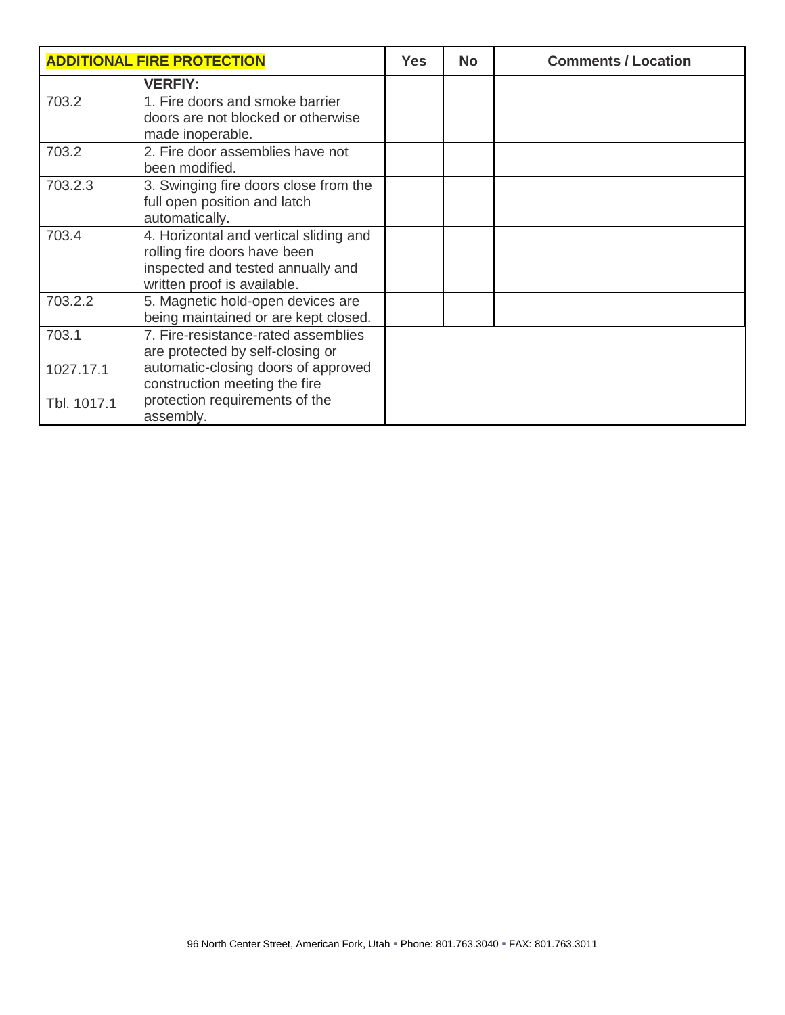| <b>ADDITIONAL FIRE PROTECTION</b> |                                                                                                                                            | <b>Yes</b> | <b>No</b> | <b>Comments / Location</b> |
|-----------------------------------|--------------------------------------------------------------------------------------------------------------------------------------------|------------|-----------|----------------------------|
|                                   | <b>VERFIY:</b>                                                                                                                             |            |           |                            |
| 703.2                             | 1. Fire doors and smoke barrier<br>doors are not blocked or otherwise<br>made inoperable.                                                  |            |           |                            |
| 703.2                             | 2. Fire door assemblies have not<br>been modified.                                                                                         |            |           |                            |
| 703.2.3                           | 3. Swinging fire doors close from the<br>full open position and latch<br>automatically.                                                    |            |           |                            |
| 703.4                             | 4. Horizontal and vertical sliding and<br>rolling fire doors have been<br>inspected and tested annually and<br>written proof is available. |            |           |                            |
| 703.2.2                           | 5. Magnetic hold-open devices are<br>being maintained or are kept closed.                                                                  |            |           |                            |
| 703.1                             | 7. Fire-resistance-rated assemblies<br>are protected by self-closing or                                                                    |            |           |                            |
| 1027.17.1                         | automatic-closing doors of approved<br>construction meeting the fire                                                                       |            |           |                            |
| Tbl. 1017.1                       | protection requirements of the<br>assembly.                                                                                                |            |           |                            |